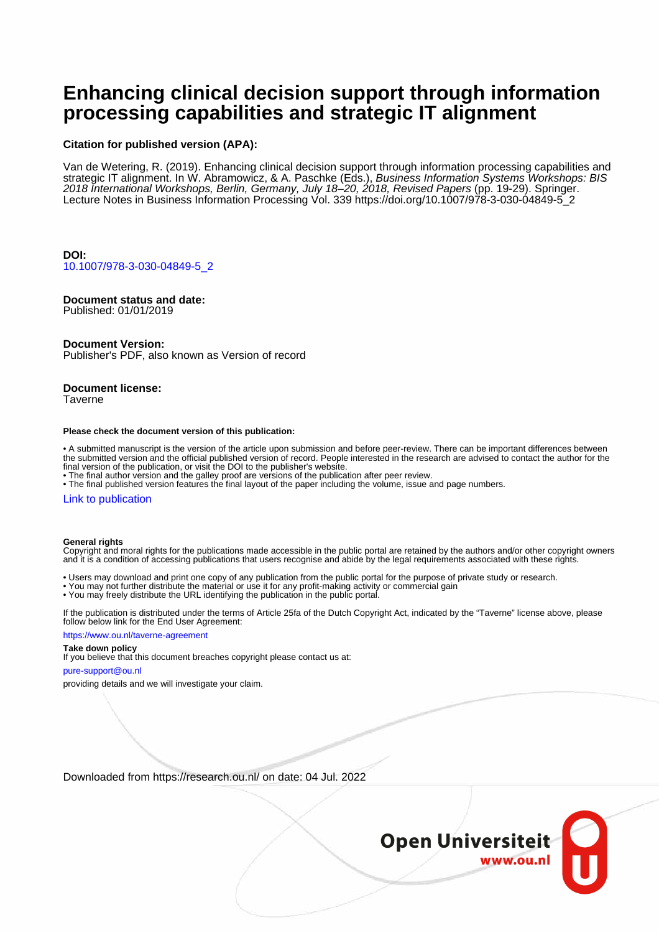# **Enhancing clinical decision support through information processing capabilities and strategic IT alignment**

## **Citation for published version (APA):**

Van de Wetering, R. (2019). Enhancing clinical decision support through information processing capabilities and strategic IT alignment. In W. Abramowicz, & A. Paschke (Eds.), *Business Information Systems Workshops: BIS* 2018 International Workshops, Berlin, Germany, July 18–20, 2018, Revised Papers (pp. 19-29). Springer. Lecture Notes in Business Information Processing Vol. 339 [https://doi.org/10.1007/978-3-030-04849-5\\_2](https://doi.org/10.1007/978-3-030-04849-5_2)

**DOI:** [10.1007/978-3-030-04849-5\\_2](https://doi.org/10.1007/978-3-030-04849-5_2)

# **Document status and date:**

Published: 01/01/2019

## **Document Version:**

Publisher's PDF, also known as Version of record

## **Document license:**

Taverne

#### **Please check the document version of this publication:**

• A submitted manuscript is the version of the article upon submission and before peer-review. There can be important differences between the submitted version and the official published version of record. People interested in the research are advised to contact the author for the final version of the publication, or visit the DOI to the publisher's website.

• The final author version and the galley proof are versions of the publication after peer review.

• The final published version features the final layout of the paper including the volume, issue and page numbers.

### [Link to publication](https://research.ou.nl/en/publications/e58380f1-e0e2-4a36-b0f5-d5686046ab44)

### **General rights**

Copyright and moral rights for the publications made accessible in the public portal are retained by the authors and/or other copyright owners and it is a condition of accessing publications that users recognise and abide by the legal requirements associated with these rights.

- Users may download and print one copy of any publication from the public portal for the purpose of private study or research.
- You may not further distribute the material or use it for any profit-making activity or commercial gain
- You may freely distribute the URL identifying the publication in the public portal.

If the publication is distributed under the terms of Article 25fa of the Dutch Copyright Act, indicated by the "Taverne" license above, please follow below link for the End User Agreement:

### https://www.ou.nl/taverne-agreement

# **Take down policy**

If you believe that this document breaches copyright please contact us at:

#### pure-support@ou.nl

providing details and we will investigate your claim.

Downloaded from https://research.ou.nl/ on date: 04 Jul. 2022

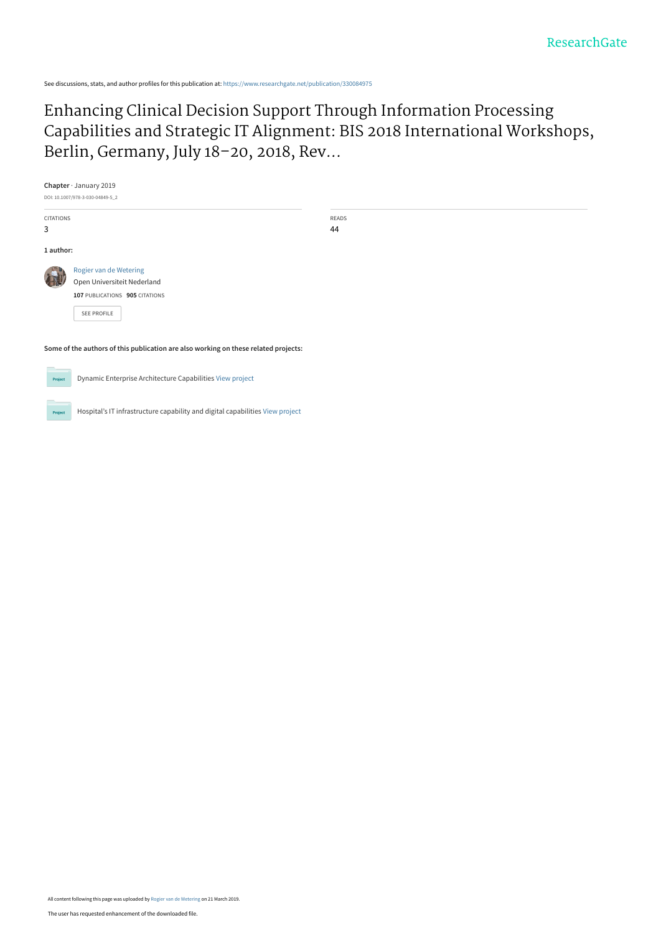See discussions, stats, and author profiles for this publication at: [https://www.researchgate.net/publication/330084975](https://www.researchgate.net/publication/330084975_Enhancing_Clinical_Decision_Support_Through_Information_Processing_Capabilities_and_Strategic_IT_Alignment_BIS_2018_International_Workshops_Berlin_Germany_July_18-20_2018_Revised_Papers?enrichId=rgreq-8a9522f07ab4970038ecdb17b2e6b3ca-XXX&enrichSource=Y292ZXJQYWdlOzMzMDA4NDk3NTtBUzo3Mzg4MTA5NDYxNDIyMTNAMTU1MzE1NzY2NDgxOQ%3D%3D&el=1_x_2&_esc=publicationCoverPdf)

# Enhancing Clinical Decision Support Through Information Processing [Capabilities and Strategic IT Alignment: BIS 2018 International Workshops,](https://www.researchgate.net/publication/330084975_Enhancing_Clinical_Decision_Support_Through_Information_Processing_Capabilities_and_Strategic_IT_Alignment_BIS_2018_International_Workshops_Berlin_Germany_July_18-20_2018_Revised_Papers?enrichId=rgreq-8a9522f07ab4970038ecdb17b2e6b3ca-XXX&enrichSource=Y292ZXJQYWdlOzMzMDA4NDk3NTtBUzo3Mzg4MTA5NDYxNDIyMTNAMTU1MzE1NzY2NDgxOQ%3D%3D&el=1_x_3&_esc=publicationCoverPdf) Berlin, Germany, July 18–20, 2018, Rev...

**Chapter** · January 2019 DOI: 10.1007/978-3-030-04849-5\_2 CITATIONS READS 44 **1 author: Some of the authors of this publication are also working on these related projects:** [Rogier van de Wetering](https://www.researchgate.net/profile/Rogier-Van-De-Wetering?enrichId=rgreq-8a9522f07ab4970038ecdb17b2e6b3ca-XXX&enrichSource=Y292ZXJQYWdlOzMzMDA4NDk3NTtBUzo3Mzg4MTA5NDYxNDIyMTNAMTU1MzE1NzY2NDgxOQ%3D%3D&el=1_x_5&_esc=publicationCoverPdf) [Open Universiteit Nederland](https://www.researchgate.net/institution/Open-Universiteit-Nederland?enrichId=rgreq-8a9522f07ab4970038ecdb17b2e6b3ca-XXX&enrichSource=Y292ZXJQYWdlOzMzMDA4NDk3NTtBUzo3Mzg4MTA5NDYxNDIyMTNAMTU1MzE1NzY2NDgxOQ%3D%3D&el=1_x_6&_esc=publicationCoverPdf) **107** PUBLICATIONS **905** CITATIONS [SEE PROFILE](https://www.researchgate.net/profile/Rogier-Van-De-Wetering?enrichId=rgreq-8a9522f07ab4970038ecdb17b2e6b3ca-XXX&enrichSource=Y292ZXJQYWdlOzMzMDA4NDk3NTtBUzo3Mzg4MTA5NDYxNDIyMTNAMTU1MzE1NzY2NDgxOQ%3D%3D&el=1_x_7&_esc=publicationCoverPdf)



3

Dynamic Enterprise Architecture Capabilities [View project](https://www.researchgate.net/project/Dynamic-Enterprise-Architecture-Capabilities?enrichId=rgreq-8a9522f07ab4970038ecdb17b2e6b3ca-XXX&enrichSource=Y292ZXJQYWdlOzMzMDA4NDk3NTtBUzo3Mzg4MTA5NDYxNDIyMTNAMTU1MzE1NzY2NDgxOQ%3D%3D&el=1_x_9&_esc=publicationCoverPdf)

Hospital's IT infrastructure capability and digital capabilities [View project](https://www.researchgate.net/project/Hospitals-IT-infrastructure-capability-and-digital-capabilities?enrichId=rgreq-8a9522f07ab4970038ecdb17b2e6b3ca-XXX&enrichSource=Y292ZXJQYWdlOzMzMDA4NDk3NTtBUzo3Mzg4MTA5NDYxNDIyMTNAMTU1MzE1NzY2NDgxOQ%3D%3D&el=1_x_9&_esc=publicationCoverPdf) Project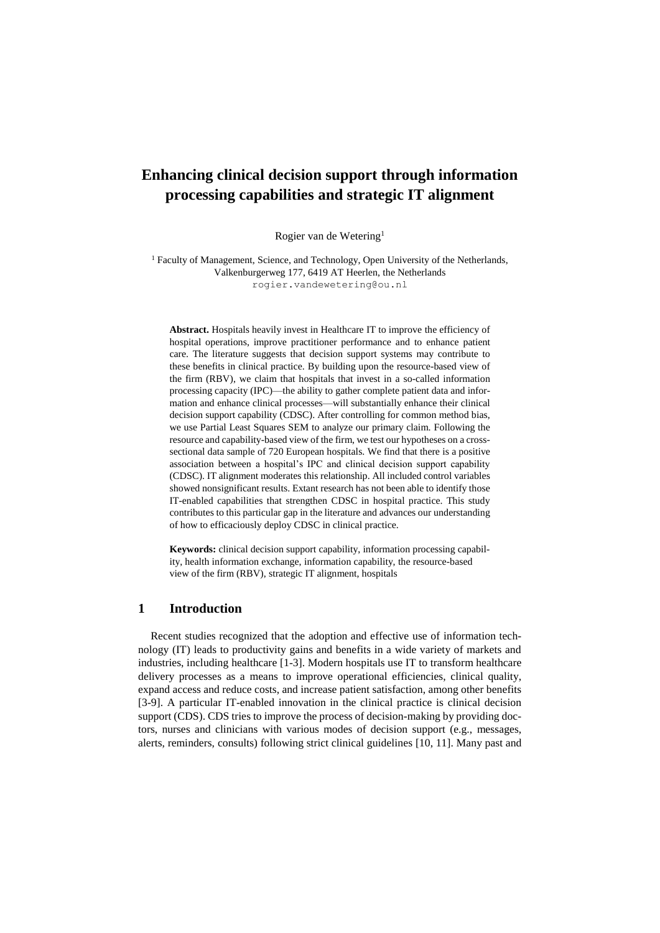# **Enhancing clinical decision support through information processing capabilities and strategic IT alignment**

Rogier van de Wetering<sup>1</sup>

<sup>1</sup> Faculty of Management, Science, and Technology, Open University of the Netherlands, Valkenburgerweg 177, 6419 AT Heerlen, the Netherlands rogier.vandewetering@ou.nl

**Abstract.** Hospitals heavily invest in Healthcare IT to improve the efficiency of hospital operations, improve practitioner performance and to enhance patient care. The literature suggests that decision support systems may contribute to these benefits in clinical practice. By building upon the resource-based view of the firm (RBV), we claim that hospitals that invest in a so-called information processing capacity (IPC)—the ability to gather complete patient data and information and enhance clinical processes—will substantially enhance their clinical decision support capability (CDSC). After controlling for common method bias, we use Partial Least Squares SEM to analyze our primary claim. Following the resource and capability-based view of the firm, we test our hypotheses on a crosssectional data sample of 720 European hospitals. We find that there is a positive association between a hospital's IPC and clinical decision support capability (CDSC). IT alignment moderates this relationship. All included control variables showed nonsignificant results. Extant research has not been able to identify those IT-enabled capabilities that strengthen CDSC in hospital practice. This study contributes to this particular gap in the literature and advances our understanding of how to efficaciously deploy CDSC in clinical practice.

**Keywords:** clinical decision support capability, information processing capability, health information exchange, information capability, the resource-based view of the firm (RBV), strategic IT alignment, hospitals

# **1 Introduction**

Recent studies recognized that the adoption and effective use of information technology (IT) leads to productivity gains and benefits in a wide variety of markets and industries, including healthcare [1-3]. Modern hospitals use IT to transform healthcare delivery processes as a means to improve operational efficiencies, clinical quality, expand access and reduce costs, and increase patient satisfaction, among other benefits [3-9]. A particular IT-enabled innovation in the clinical practice is clinical decision support (CDS). CDS tries to improve the process of decision-making by providing doctors, nurses and clinicians with various modes of decision support (e.g., messages, alerts, reminders, consults) following strict clinical guidelines [10, 11]. Many past and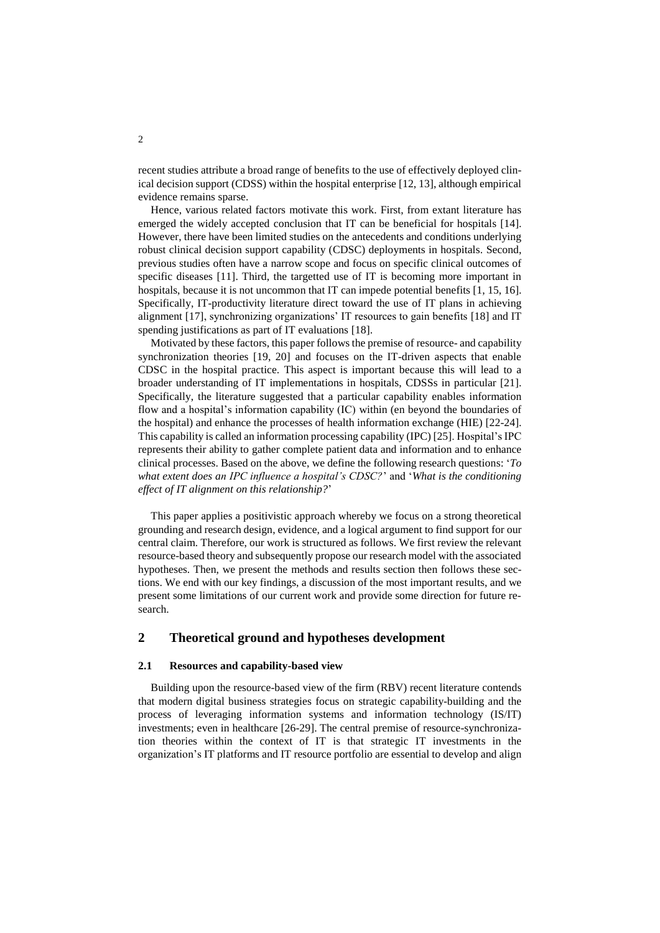recent studies attribute a broad range of benefits to the use of effectively deployed clinical decision support (CDSS) within the hospital enterprise [12, 13], although empirical evidence remains sparse.

Hence, various related factors motivate this work. First, from extant literature has emerged the widely accepted conclusion that IT can be beneficial for hospitals [14]. However, there have been limited studies on the antecedents and conditions underlying robust clinical decision support capability (CDSC) deployments in hospitals. Second, previous studies often have a narrow scope and focus on specific clinical outcomes of specific diseases [11]. Third, the targetted use of IT is becoming more important in hospitals, because it is not uncommon that IT can impede potential benefits [1, 15, 16]. Specifically, IT-productivity literature direct toward the use of IT plans in achieving alignment [17], synchronizing organizations' IT resources to gain benefits [18] and IT spending justifications as part of IT evaluations [18].

Motivated by these factors, this paper follows the premise of resource- and capability synchronization theories [19, 20] and focuses on the IT-driven aspects that enable CDSC in the hospital practice. This aspect is important because this will lead to a broader understanding of IT implementations in hospitals, CDSSs in particular [21]. Specifically, the literature suggested that a particular capability enables information flow and a hospital's information capability (IC) within (en beyond the boundaries of the hospital) and enhance the processes of health information exchange (HIE) [22-24]. This capability is called an information processing capability (IPC) [25]. Hospital's IPC represents their ability to gather complete patient data and information and to enhance clinical processes. Based on the above, we define the following research questions: '*To what extent does an IPC influence a hospital's CDSC?*' and '*What is the conditioning effect of IT alignment on this relationship?*'

This paper applies a positivistic approach whereby we focus on a strong theoretical grounding and research design, evidence, and a logical argument to find support for our central claim. Therefore, our work is structured as follows. We first review the relevant resource-based theory and subsequently propose our research model with the associated hypotheses. Then, we present the methods and results section then follows these sections. We end with our key findings, a discussion of the most important results, and we present some limitations of our current work and provide some direction for future research.

# **2 Theoretical ground and hypotheses development**

### **2.1 Resources and capability-based view**

Building upon the resource-based view of the firm (RBV) recent literature contends that modern digital business strategies focus on strategic capability-building and the process of leveraging information systems and information technology (IS/IT) investments; even in healthcare [26-29]. The central premise of resource-synchronization theories within the context of IT is that strategic IT investments in the organization's IT platforms and IT resource portfolio are essential to develop and align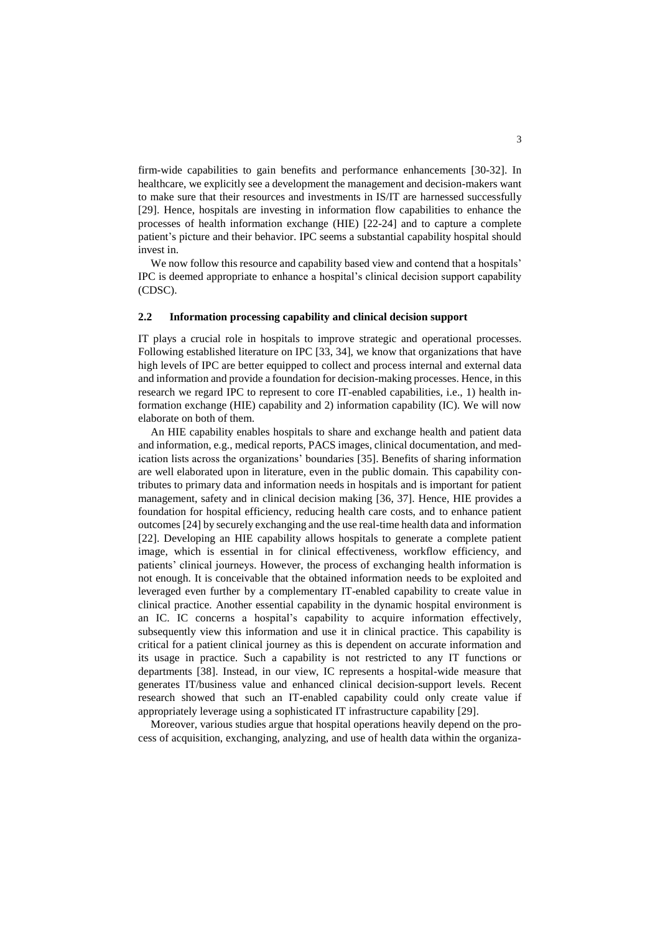firm-wide capabilities to gain benefits and performance enhancements [30-32]. In healthcare, we explicitly see a development the management and decision-makers want to make sure that their resources and investments in IS/IT are harnessed successfully [29]. Hence, hospitals are investing in information flow capabilities to enhance the processes of health information exchange (HIE) [22-24] and to capture a complete patient's picture and their behavior. IPC seems a substantial capability hospital should invest in.

We now follow this resource and capability based view and contend that a hospitals' IPC is deemed appropriate to enhance a hospital's clinical decision support capability (CDSC).

## **2.2 Information processing capability and clinical decision support**

IT plays a crucial role in hospitals to improve strategic and operational processes. Following established literature on IPC [33, 34], we know that organizations that have high levels of IPC are better equipped to collect and process internal and external data and information and provide a foundation for decision-making processes. Hence, in this research we regard IPC to represent to core IT-enabled capabilities, i.e., 1) health information exchange (HIE) capability and 2) information capability (IC). We will now elaborate on both of them.

An HIE capability enables hospitals to share and exchange health and patient data and information, e.g., medical reports, PACS images, clinical documentation, and medication lists across the organizations' boundaries [35]. Benefits of sharing information are well elaborated upon in literature, even in the public domain. This capability contributes to primary data and information needs in hospitals and is important for patient management, safety and in clinical decision making [36, 37]. Hence, HIE provides a foundation for hospital efficiency, reducing health care costs, and to enhance patient outcomes [24] by securely exchanging and the use real-time health data and information [22]. Developing an HIE capability allows hospitals to generate a complete patient image, which is essential in for clinical effectiveness, workflow efficiency, and patients' clinical journeys. However, the process of exchanging health information is not enough. It is conceivable that the obtained information needs to be exploited and leveraged even further by a complementary IT-enabled capability to create value in clinical practice. Another essential capability in the dynamic hospital environment is an IC. IC concerns a hospital's capability to acquire information effectively, subsequently view this information and use it in clinical practice. This capability is critical for a patient clinical journey as this is dependent on accurate information and its usage in practice. Such a capability is not restricted to any IT functions or departments [38]. Instead, in our view, IC represents a hospital-wide measure that generates IT/business value and enhanced clinical decision-support levels. Recent research showed that such an IT-enabled capability could only create value if appropriately leverage using a sophisticated IT infrastructure capability [29].

Moreover, various studies argue that hospital operations heavily depend on the process of acquisition, exchanging, analyzing, and use of health data within the organiza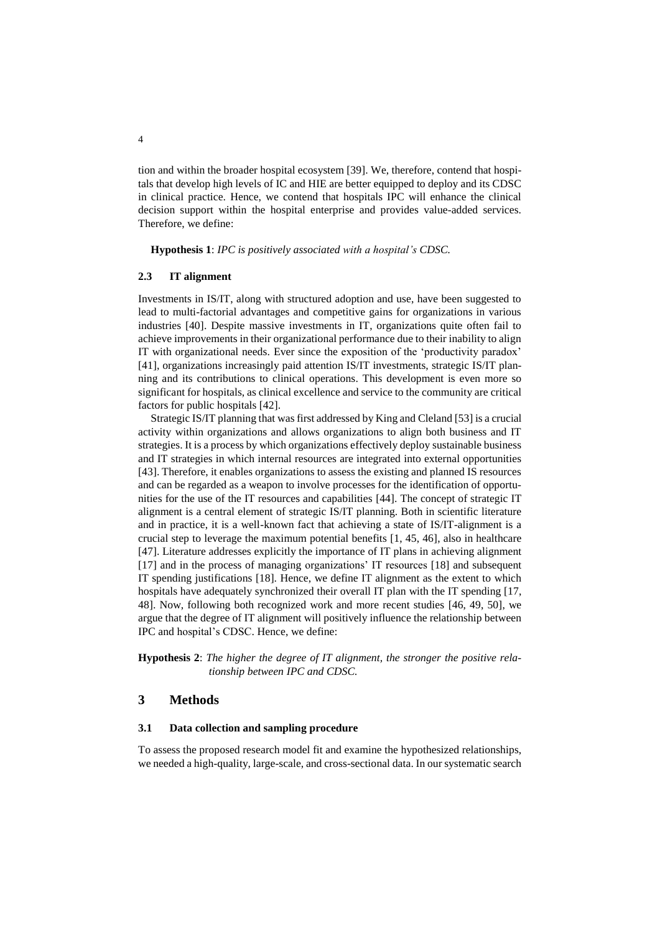tion and within the broader hospital ecosystem [39]. We, therefore, contend that hospitals that develop high levels of IC and HIE are better equipped to deploy and its CDSC in clinical practice. Hence, we contend that hospitals IPC will enhance the clinical decision support within the hospital enterprise and provides value-added services. Therefore, we define:

**Hypothesis 1**: *IPC is positively associated with a hospital's CDSC.*

## **2.3 IT alignment**

Investments in IS/IT, along with structured adoption and use, have been suggested to lead to multi-factorial advantages and competitive gains for organizations in various industries [40]. Despite massive investments in IT, organizations quite often fail to achieve improvements in their organizational performance due to their inability to align IT with organizational needs. Ever since the exposition of the 'productivity paradox' [41], organizations increasingly paid attention IS/IT investments, strategic IS/IT planning and its contributions to clinical operations. This development is even more so significant for hospitals, as clinical excellence and service to the community are critical factors for public hospitals [42].

Strategic IS/IT planning that was first addressed by King and Cleland [53] is a crucial activity within organizations and allows organizations to align both business and IT strategies. It is a process by which organizations effectively deploy sustainable business and IT strategies in which internal resources are integrated into external opportunities [43]. Therefore, it enables organizations to assess the existing and planned IS resources and can be regarded as a weapon to involve processes for the identification of opportunities for the use of the IT resources and capabilities [44]. The concept of strategic IT alignment is a central element of strategic IS/IT planning. Both in scientific literature and in practice, it is a well-known fact that achieving a state of IS/IT-alignment is a crucial step to leverage the maximum potential benefits [1, 45, 46], also in healthcare [47]. Literature addresses explicitly the importance of IT plans in achieving alignment [17] and in the process of managing organizations' IT resources [18] and subsequent IT spending justifications [18]. Hence, we define IT alignment as the extent to which hospitals have adequately synchronized their overall IT plan with the IT spending [17, 48]. Now, following both recognized work and more recent studies [46, 49, 50], we argue that the degree of IT alignment will positively influence the relationship between IPC and hospital's CDSC. Hence, we define:

**Hypothesis 2**: *The higher the degree of IT alignment, the stronger the positive relationship between IPC and CDSC.*

# **3 Methods**

## **3.1 Data collection and sampling procedure**

To assess the proposed research model fit and examine the hypothesized relationships, we needed a high-quality, large-scale, and cross-sectional data. In our systematic search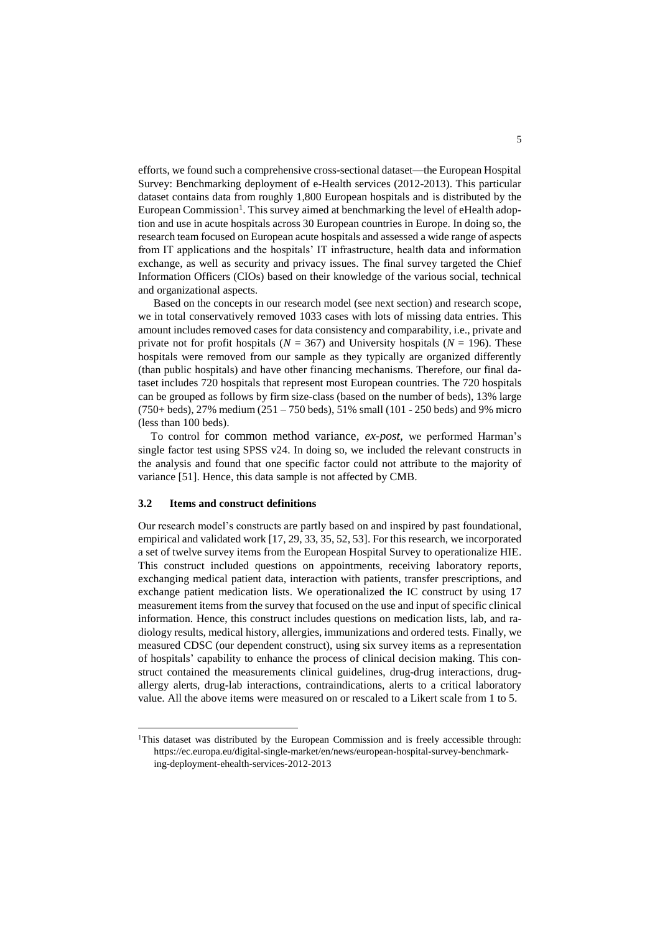efforts, we found such a comprehensive cross-sectional dataset—the European Hospital Survey: Benchmarking deployment of e-Health services (2012-2013). This particular dataset contains data from roughly 1,800 European hospitals and is distributed by the European Commission<sup>1</sup>. This survey aimed at benchmarking the level of eHealth adoption and use in acute hospitals across 30 European countries in Europe. In doing so, the research team focused on European acute hospitals and assessed a wide range of aspects from IT applications and the hospitals' IT infrastructure, health data and information exchange, as well as security and privacy issues. The final survey targeted the Chief Information Officers (CIOs) based on their knowledge of the various social, technical and organizational aspects.

Based on the concepts in our research model (see next section) and research scope, we in total conservatively removed 1033 cases with lots of missing data entries. This amount includes removed cases for data consistency and comparability, i.e., private and private not for profit hospitals ( $N = 367$ ) and University hospitals ( $N = 196$ ). These hospitals were removed from our sample as they typically are organized differently (than public hospitals) and have other financing mechanisms. Therefore, our final dataset includes 720 hospitals that represent most European countries. The 720 hospitals can be grouped as follows by firm size-class (based on the number of beds), 13% large (750+ beds), 27% medium (251 – 750 beds), 51% small (101 - 250 beds) and 9% micro (less than 100 beds).

To control for common method variance, *ex-post,* we performed Harman's single factor test using SPSS v24. In doing so, we included the relevant constructs in the analysis and found that one specific factor could not attribute to the majority of variance [51]. Hence, this data sample is not affected by CMB.

## **3.2 Items and construct definitions**

l

Our research model's constructs are partly based on and inspired by past foundational, empirical and validated work [17, 29, 33, 35, 52, 53]. For this research, we incorporated a set of twelve survey items from the European Hospital Survey to operationalize HIE. This construct included questions on appointments, receiving laboratory reports, exchanging medical patient data, interaction with patients, transfer prescriptions, and exchange patient medication lists. We operationalized the IC construct by using 17 measurement items from the survey that focused on the use and input of specific clinical information. Hence, this construct includes questions on medication lists, lab, and radiology results, medical history, allergies, immunizations and ordered tests. Finally, we measured CDSC (our dependent construct), using six survey items as a representation of hospitals' capability to enhance the process of clinical decision making. This construct contained the measurements clinical guidelines, drug-drug interactions, drugallergy alerts, drug-lab interactions, contraindications, alerts to a critical laboratory value. All the above items were measured on or rescaled to a Likert scale from 1 to 5.

<sup>&</sup>lt;sup>1</sup>This dataset was distributed by the European Commission and is freely accessible through: https://ec.europa.eu/digital-single-market/en/news/european-hospital-survey-benchmarking-deployment-ehealth-services-2012-2013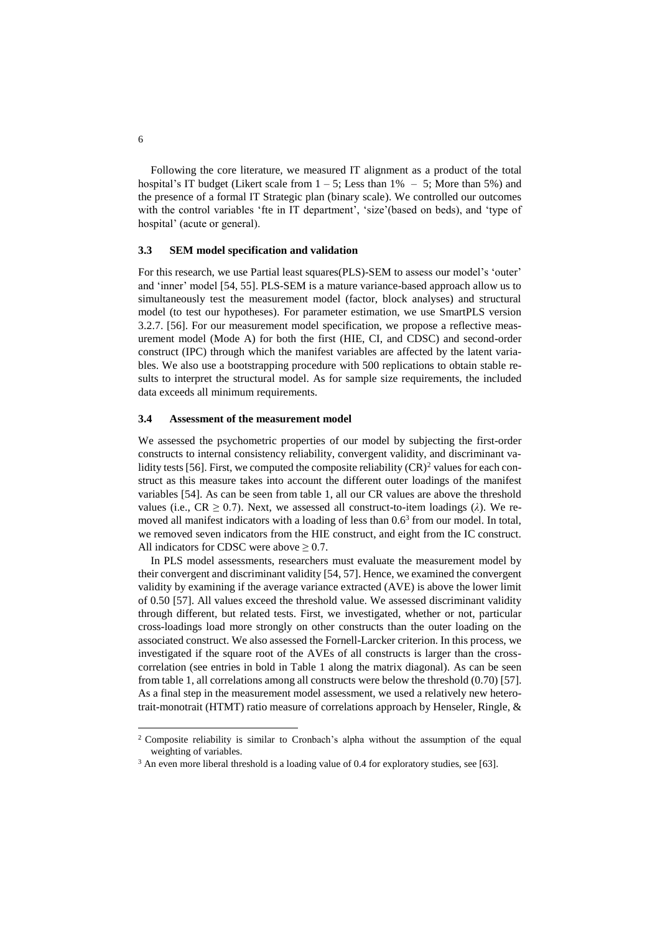Following the core literature, we measured IT alignment as a product of the total hospital's IT budget (Likert scale from  $1 - 5$ ; Less than  $1\% - 5$ ; More than 5%) and the presence of a formal IT Strategic plan (binary scale). We controlled our outcomes with the control variables 'fte in IT department', 'size'(based on beds), and 'type of hospital' (acute or general).

## **3.3 SEM model specification and validation**

For this research, we use Partial least squares(PLS)-SEM to assess our model's 'outer' and 'inner' model [54, 55]. PLS-SEM is a mature variance-based approach allow us to simultaneously test the measurement model (factor, block analyses) and structural model (to test our hypotheses). For parameter estimation, we use SmartPLS version 3.2.7. [56]. For our measurement model specification, we propose a reflective measurement model (Mode A) for both the first (HIE, CI, and CDSC) and second-order construct (IPC) through which the manifest variables are affected by the latent variables. We also use a bootstrapping procedure with 500 replications to obtain stable results to interpret the structural model. As for sample size requirements, the included data exceeds all minimum requirements.

## **3.4 Assessment of the measurement model**

We assessed the psychometric properties of our model by subjecting the first-order constructs to internal consistency reliability, convergent validity, and discriminant validity tests [56]. First, we computed the composite reliability  $(CR)^2$  values for each construct as this measure takes into account the different outer loadings of the manifest variables [54]. As can be seen from table 1, all our CR values are above the threshold values (i.e.,  $CR \ge 0.7$ ). Next, we assessed all construct-to-item loadings ( $\lambda$ ). We removed all manifest indicators with a loading of less than 0.6<sup>3</sup> from our model. In total, we removed seven indicators from the HIE construct, and eight from the IC construct. All indicators for CDSC were above  $\geq 0.7$ .

In PLS model assessments, researchers must evaluate the measurement model by their convergent and discriminant validity [54, 57]. Hence, we examined the convergent validity by examining if the average variance extracted (AVE) is above the lower limit of 0.50 [57]. All values exceed the threshold value. We assessed discriminant validity through different, but related tests. First, we investigated, whether or not, particular cross-loadings load more strongly on other constructs than the outer loading on the associated construct. We also assessed the Fornell-Larcker criterion. In this process, we investigated if the square root of the AVEs of all constructs is larger than the crosscorrelation (see entries in bold in Table 1 along the matrix diagonal). As can be seen from table 1, all correlations among all constructs were below the threshold (0.70) [57]. As a final step in the measurement model assessment, we used a relatively new heterotrait-monotrait (HTMT) ratio measure of correlations approach by Henseler, Ringle, &

l

<sup>&</sup>lt;sup>2</sup> Composite reliability is similar to Cronbach's alpha without the assumption of the equal weighting of variables.

<sup>&</sup>lt;sup>3</sup> An even more liberal threshold is a loading value of 0.4 for exploratory studies, see [63].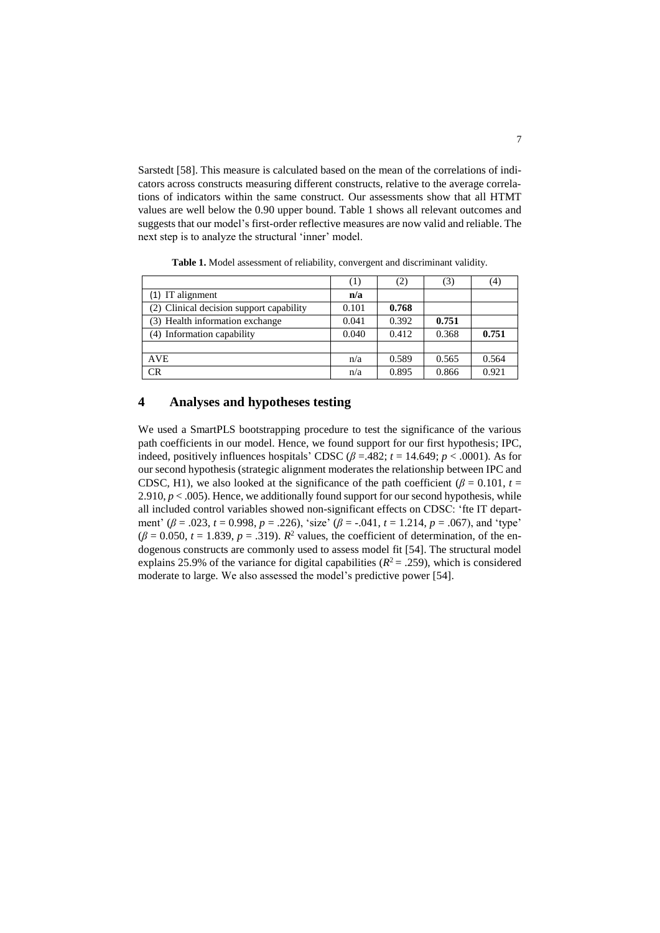Sarstedt [58]. This measure is calculated based on the mean of the correlations of indicators across constructs measuring different constructs, relative to the average correlations of indicators within the same construct. Our assessments show that all HTMT values are well below the 0.90 upper bound. Table 1 shows all relevant outcomes and suggests that our model's first-order reflective measures are now valid and reliable. The next step is to analyze the structural 'inner' model.

|                                          | (1)   | (2)   | (3)   | (4)   |
|------------------------------------------|-------|-------|-------|-------|
| $(1)$ IT alignment                       | n/a   |       |       |       |
| (2) Clinical decision support capability | 0.101 | 0.768 |       |       |
| (3) Health information exchange          | 0.041 | 0.392 | 0.751 |       |
| (4) Information capability               | 0.040 | 0.412 | 0.368 | 0.751 |
|                                          |       |       |       |       |
| <b>AVE</b>                               | n/a   | 0.589 | 0.565 | 0.564 |
| CR                                       | n/a   | 0.895 | 0.866 | 0.921 |

**Table 1.** Model assessment of reliability, convergent and discriminant validity.

# **4 Analyses and hypotheses testing**

We used a SmartPLS bootstrapping procedure to test the significance of the various path coefficients in our model. Hence, we found support for our first hypothesis; IPC, indeed, positively influences hospitals' CDSC ( $\beta$  =.482;  $t = 14.649$ ;  $p < .0001$ ). As for our second hypothesis (strategic alignment moderates the relationship between IPC and CDSC, H1), we also looked at the significance of the path coefficient ( $\beta = 0.101$ ,  $t =$ 2.910,  $p < .005$ ). Hence, we additionally found support for our second hypothesis, while all included control variables showed non-significant effects on CDSC: 'fte IT department' (*β* = .023, *t* = 0.998, *p* = .226), 'size' (*β* = -.041, *t* = 1.214, *p* = .067), and 'type'  $(\beta = 0.050, t = 1.839, p = .319)$ .  $R^2$  values, the coefficient of determination, of the endogenous constructs are commonly used to assess model fit [54]. The structural model explains 25.9% of the variance for digital capabilities  $(R^2 = .259)$ , which is considered moderate to large. We also assessed the model's predictive power [54].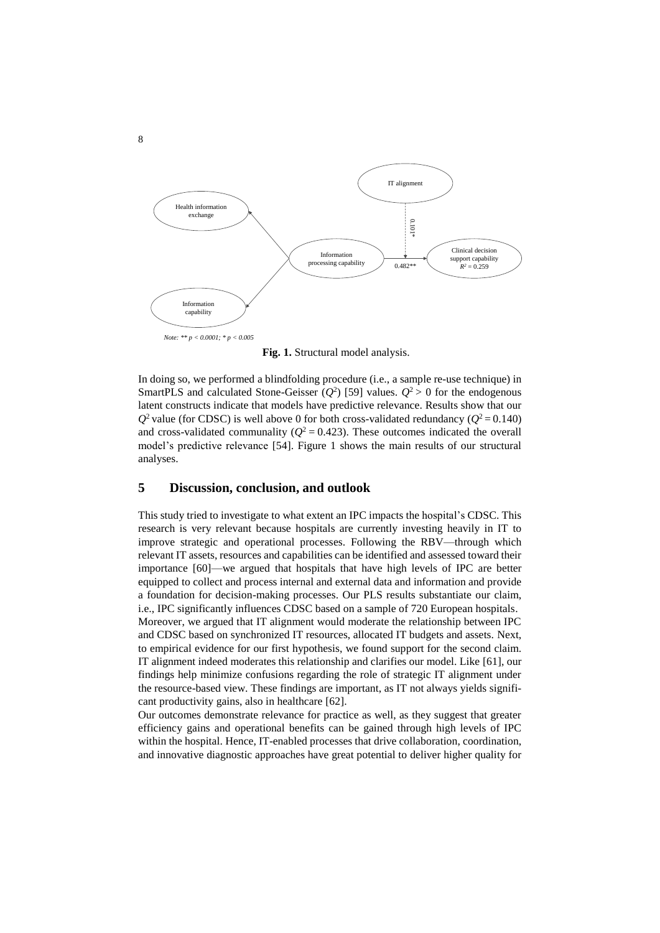

**Fig. 1.** Structural model analysis.

In doing so, we performed a blindfolding procedure (i.e., a sample re-use technique) in SmartPLS and calculated Stone-Geisser  $(Q^2)$  [59] values.  $Q^2 > 0$  for the endogenous latent constructs indicate that models have predictive relevance. Results show that our  $Q^2$  value (for CDSC) is well above 0 for both cross-validated redundancy ( $Q^2$  = 0.140) and cross-validated communality ( $Q^2 = 0.423$ ). These outcomes indicated the overall model's predictive relevance [54]. Figure 1 shows the main results of our structural analyses.

# **5 Discussion, conclusion, and outlook**

This study tried to investigate to what extent an IPC impacts the hospital's CDSC. This research is very relevant because hospitals are currently investing heavily in IT to improve strategic and operational processes. Following the RBV—through which relevant IT assets, resources and capabilities can be identified and assessed toward their importance [60]—we argued that hospitals that have high levels of IPC are better equipped to collect and process internal and external data and information and provide a foundation for decision-making processes. Our PLS results substantiate our claim, i.e., IPC significantly influences CDSC based on a sample of 720 European hospitals. Moreover, we argued that IT alignment would moderate the relationship between IPC and CDSC based on synchronized IT resources, allocated IT budgets and assets. Next, to empirical evidence for our first hypothesis, we found support for the second claim. IT alignment indeed moderates this relationship and clarifies our model. Like [61], our findings help minimize confusions regarding the role of strategic IT alignment under the resource-based view. These findings are important, as IT not always yields significant productivity gains, also in healthcare [62].

Our outcomes demonstrate relevance for practice as well, as they suggest that greater efficiency gains and operational benefits can be gained through high levels of IPC within the hospital. Hence, IT-enabled processes that drive collaboration, coordination, and innovative diagnostic approaches have great potential to deliver higher quality for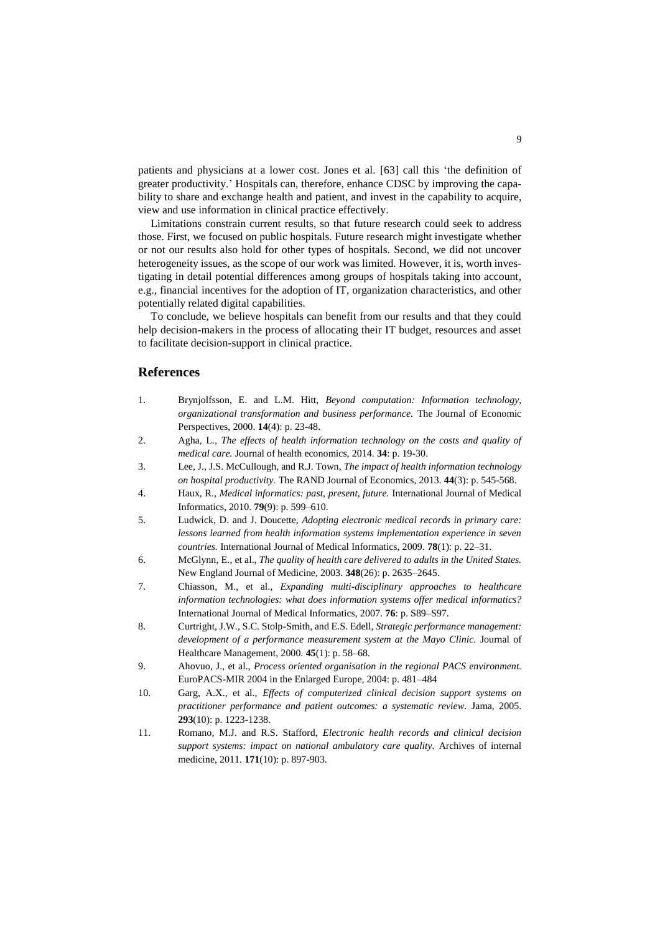patients and physicians at a lower cost. Jones et al. [63] call this 'the definition of greater productivity.' Hospitals can, therefore, enhance CDSC by improving the capability to share and exchange health and patient, and invest in the capability to acquire, view and use information in clinical practice effectively.

Limitations constrain current results, so that future research could seek to address those. First, we focused on public hospitals. Future research might investigate whether or not our results also hold for other types of hospitals. Second, we did not uncover heterogeneity issues, as the scope of our work was limited. However, it is, worth investigating in detail potential differences among groups of hospitals taking into account, e.g., financial incentives for the adoption of IT, organization characteristics, and other potentially related digital capabilities.

To conclude, we believe hospitals can benefit from our results and that they could help decision-makers in the process of allocating their IT budget, resources and asset to facilitate decision-support in clinical practice.

# **References**

- 1. Brynjolfsson, E. and L.M. Hitt, *Beyond computation: Information technology, organizational transformation and business performance.* The Journal of Economic Perspectives, 2000. **14**(4): p. 23-48.
- 2. Agha, L., *The effects of health information technology on the costs and quality of medical care.* Journal of health economics, 2014. **34**: p. 19-30.
- 3. Lee, J., J.S. McCullough, and R.J. Town, *The impact of health information technology on hospital productivity.* The RAND Journal of Economics, 2013. **44**(3): p. 545-568.
- 4. Haux, R., *Medical informatics: past, present, future.* International Journal of Medical Informatics, 2010. **79**(9): p. 599–610.
- 5. Ludwick, D. and J. Doucette, *Adopting electronic medical records in primary care: lessons learned from health information systems implementation experience in seven countries.* International Journal of Medical Informatics, 2009. **78**(1): p. 22–31.
- 6. McGlynn, E., et al., *The quality of health care delivered to adults in the United States.* New England Journal of Medicine, 2003. **348**(26): p. 2635–2645.
- 7. Chiasson, M., et al., *Expanding multi-disciplinary approaches to healthcare information technologies: what does information systems offer medical informatics?* International Journal of Medical Informatics, 2007. **76**: p. S89–S97.
- 8. Curtright, J.W., S.C. Stolp-Smith, and E.S. Edell, *Strategic performance management: development of a performance measurement system at the Mayo Clinic.* Journal of Healthcare Management, 2000. **45**(1): p. 58–68.
- 9. Ahovuo, J., et al., *Process oriented organisation in the regional PACS environment.* EuroPACS-MIR 2004 in the Enlarged Europe, 2004: p. 481–484
- 10. Garg, A.X., et al., *Effects of computerized clinical decision support systems on practitioner performance and patient outcomes: a systematic review.* Jama, 2005. **293**(10): p. 1223-1238.
- 11. Romano, M.J. and R.S. Stafford, *Electronic health records and clinical decision support systems: impact on national ambulatory care quality.* Archives of internal medicine, 2011. **171**(10): p. 897-903.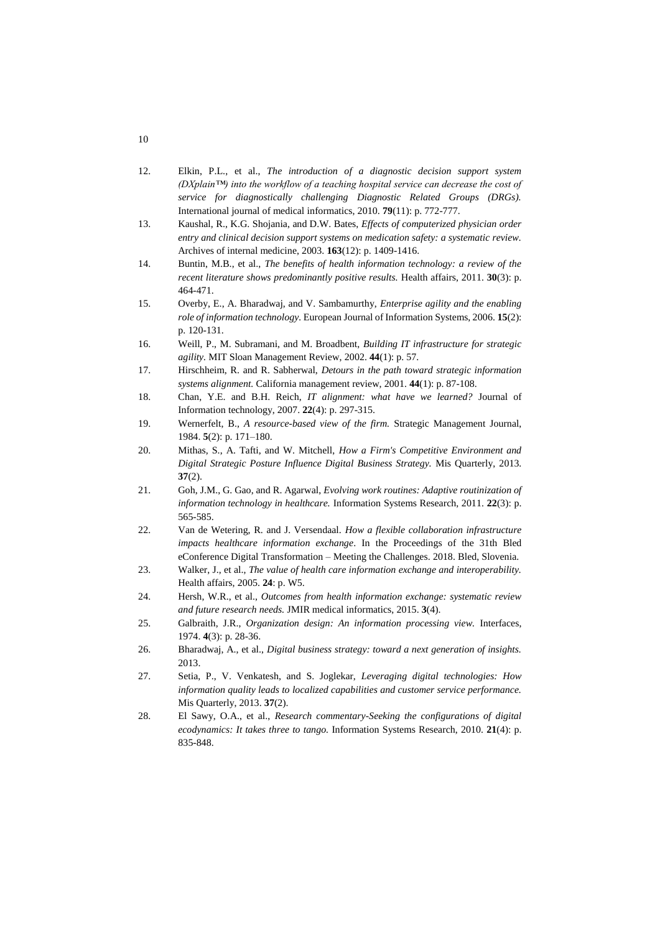- 12. Elkin, P.L., et al., *The introduction of a diagnostic decision support system (DXplain™) into the workflow of a teaching hospital service can decrease the cost of service for diagnostically challenging Diagnostic Related Groups (DRGs).* International journal of medical informatics, 2010. **79**(11): p. 772-777.
- 13. Kaushal, R., K.G. Shojania, and D.W. Bates, *Effects of computerized physician order entry and clinical decision support systems on medication safety: a systematic review.* Archives of internal medicine, 2003. **163**(12): p. 1409-1416.
- 14. Buntin, M.B., et al., *The benefits of health information technology: a review of the recent literature shows predominantly positive results.* Health affairs, 2011. **30**(3): p. 464-471.
- 15. Overby, E., A. Bharadwaj, and V. Sambamurthy, *Enterprise agility and the enabling role of information technology.* European Journal of Information Systems, 2006. **15**(2): p. 120-131.
- 16. Weill, P., M. Subramani, and M. Broadbent, *Building IT infrastructure for strategic agility.* MIT Sloan Management Review, 2002. **44**(1): p. 57.
- 17. Hirschheim, R. and R. Sabherwal, *Detours in the path toward strategic information systems alignment.* California management review, 2001. **44**(1): p. 87-108.
- 18. Chan, Y.E. and B.H. Reich, *IT alignment: what have we learned?* Journal of Information technology, 2007. **22**(4): p. 297-315.
- 19. Wernerfelt, B., *A resource-based view of the firm.* Strategic Management Journal, 1984. **5**(2): p. 171–180.
- 20. Mithas, S., A. Tafti, and W. Mitchell, *How a Firm's Competitive Environment and Digital Strategic Posture Influence Digital Business Strategy.* Mis Quarterly, 2013. **37**(2).
- 21. Goh, J.M., G. Gao, and R. Agarwal, *Evolving work routines: Adaptive routinization of information technology in healthcare.* Information Systems Research, 2011. **22**(3): p. 565-585.
- 22. Van de Wetering, R. and J. Versendaal. *How a flexible collaboration infrastructure impacts healthcare information exchange*. In the Proceedings of the 31th Bled eConference Digital Transformation – Meeting the Challenges. 2018. Bled, Slovenia.
- 23. Walker, J., et al., *The value of health care information exchange and interoperability.* Health affairs, 2005. **24**: p. W5.
- 24. Hersh, W.R., et al., *Outcomes from health information exchange: systematic review and future research needs.* JMIR medical informatics, 2015. **3**(4).
- 25. Galbraith, J.R., *Organization design: An information processing view.* Interfaces, 1974. **4**(3): p. 28-36.
- 26. Bharadwaj, A., et al., *Digital business strategy: toward a next generation of insights.* 2013.
- 27. Setia, P., V. Venkatesh, and S. Joglekar, *Leveraging digital technologies: How information quality leads to localized capabilities and customer service performance.* Mis Quarterly, 2013. **37**(2).
- 28. El Sawy, O.A., et al., *Research commentary-Seeking the configurations of digital ecodynamics: It takes three to tango.* Information Systems Research, 2010. **21**(4): p. 835-848.

10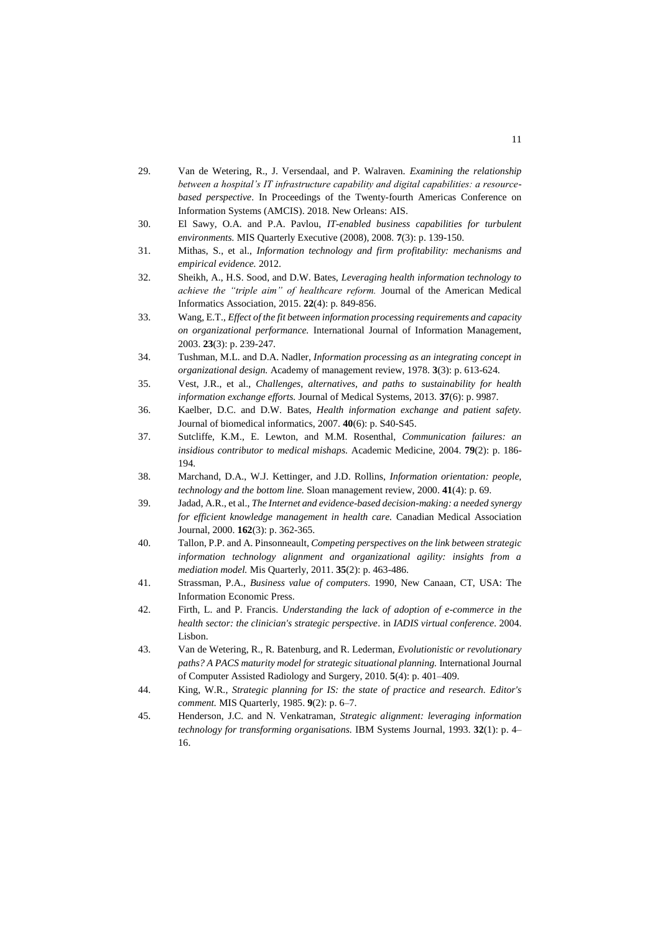- 29. Van de Wetering, R., J. Versendaal, and P. Walraven. *Examining the relationship between a hospital's IT infrastructure capability and digital capabilities: a resourcebased perspective*. In Proceedings of the Twenty-fourth Americas Conference on Information Systems (AMCIS). 2018. New Orleans: AIS.
- 30. El Sawy, O.A. and P.A. Pavlou, *IT-enabled business capabilities for turbulent environments.* MIS Quarterly Executive (2008), 2008. **7**(3): p. 139-150.
- 31. Mithas, S., et al., *Information technology and firm profitability: mechanisms and empirical evidence.* 2012.
- 32. Sheikh, A., H.S. Sood, and D.W. Bates, *Leveraging health information technology to achieve the "triple aim" of healthcare reform.* Journal of the American Medical Informatics Association, 2015. **22**(4): p. 849-856.
- 33. Wang, E.T., *Effect of the fit between information processing requirements and capacity on organizational performance.* International Journal of Information Management, 2003. **23**(3): p. 239-247.
- 34. Tushman, M.L. and D.A. Nadler, *Information processing as an integrating concept in organizational design.* Academy of management review, 1978. **3**(3): p. 613-624.
- 35. Vest, J.R., et al., *Challenges, alternatives, and paths to sustainability for health information exchange efforts.* Journal of Medical Systems, 2013. **37**(6): p. 9987.
- 36. Kaelber, D.C. and D.W. Bates, *Health information exchange and patient safety.* Journal of biomedical informatics, 2007. **40**(6): p. S40-S45.
- 37. Sutcliffe, K.M., E. Lewton, and M.M. Rosenthal, *Communication failures: an insidious contributor to medical mishaps.* Academic Medicine, 2004. **79**(2): p. 186- 194.
- 38. Marchand, D.A., W.J. Kettinger, and J.D. Rollins, *Information orientation: people, technology and the bottom line.* Sloan management review, 2000. **41**(4): p. 69.
- 39. Jadad, A.R., et al., *The Internet and evidence-based decision-making: a needed synergy for efficient knowledge management in health care.* Canadian Medical Association Journal, 2000. **162**(3): p. 362-365.
- 40. Tallon, P.P. and A. Pinsonneault, *Competing perspectives on the link between strategic information technology alignment and organizational agility: insights from a mediation model.* Mis Quarterly, 2011. **35**(2): p. 463-486.
- 41. Strassman, P.A., *Business value of computers*. 1990, New Canaan, CT, USA: The Information Economic Press.
- 42. Firth, L. and P. Francis. *Understanding the lack of adoption of e-commerce in the health sector: the clinician's strategic perspective*. in *IADIS virtual conference*. 2004. Lisbon.
- 43. Van de Wetering, R., R. Batenburg, and R. Lederman, *Evolutionistic or revolutionary paths? A PACS maturity model for strategic situational planning.* International Journal of Computer Assisted Radiology and Surgery, 2010. **5**(4): p. 401–409.
- 44. King, W.R., *Strategic planning for IS: the state of practice and research. Editor's comment.* MIS Quarterly, 1985. **9**(2): p. 6–7.
- 45. Henderson, J.C. and N. Venkatraman, *Strategic alignment: leveraging information technology for transforming organisations.* IBM Systems Journal, 1993. **32**(1): p. 4– 16.